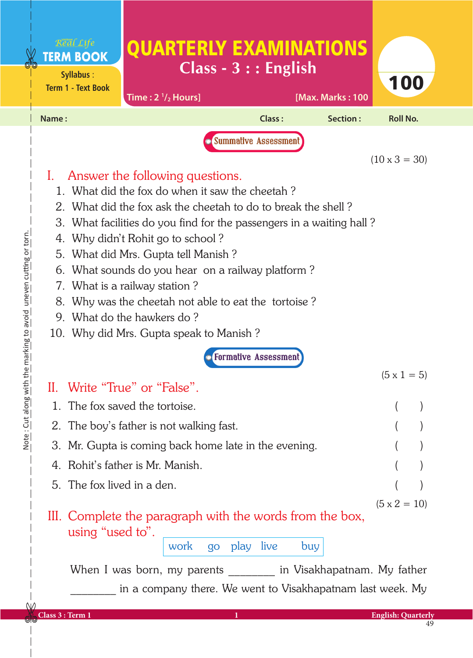|                                                                   |       | Real Life<br><b>TERM BOOK</b><br>Syllabus:<br><b>Term 1 - Text Book</b>                                    | <b>QUARTERLY EXAMINATIONS</b><br>Time: $2 \frac{1}{2}$ Hours]                                                                                                                                                                                                                                                                                                                                                                                                                                                                                                                                                                                                                                                                      | $Class - 3 ::$ English                                       | [Max. Marks: 100 | 100                                        |  |
|-------------------------------------------------------------------|-------|------------------------------------------------------------------------------------------------------------|------------------------------------------------------------------------------------------------------------------------------------------------------------------------------------------------------------------------------------------------------------------------------------------------------------------------------------------------------------------------------------------------------------------------------------------------------------------------------------------------------------------------------------------------------------------------------------------------------------------------------------------------------------------------------------------------------------------------------------|--------------------------------------------------------------|------------------|--------------------------------------------|--|
|                                                                   | Name: |                                                                                                            |                                                                                                                                                                                                                                                                                                                                                                                                                                                                                                                                                                                                                                                                                                                                    | Class:                                                       | Section:         | <b>Roll No.</b>                            |  |
| Note: Cut along with the marking to avoid uneven cutting or torn. | 1.    |                                                                                                            | Answer the following questions.<br>1. What did the fox do when it saw the cheetah?<br>2. What did the fox ask the cheetah to do to break the shell?<br>3. What facilities do you find for the passengers in a waiting hall?<br>4. Why didn't Rohit go to school?<br>5. What did Mrs. Gupta tell Manish?<br>6. What sounds do you hear on a railway platform?<br>7. What is a railway station?<br>8. Why was the cheetah not able to eat the tortoise?<br>9. What do the hawkers do?<br>10. Why did Mrs. Gupta speak to Manish?<br>Write "True" or "False".<br>The fox saved the tortoise.<br>2. The boy's father is not walking fast.<br>3. Mr. Gupta is coming back home late in the evening.<br>4. Rohit's father is Mr. Manish. | <b>Summative Assessment</b><br><b>• Formative Assessment</b> |                  | $(10 \times 3 = 30)$<br>$(5 \times 1 = 5)$ |  |
|                                                                   |       | 5. The fox lived in a den.<br>III. Complete the paragraph with the words from the box,<br>using "used to". | $(5 \times 2 = 10)$                                                                                                                                                                                                                                                                                                                                                                                                                                                                                                                                                                                                                                                                                                                |                                                              |                  |                                            |  |
| NΛ                                                                |       |                                                                                                            | When I was born, my parents in Visakhapatnam. My father<br>in a company there. We went to Visakhapatnam last week. My                                                                                                                                                                                                                                                                                                                                                                                                                                                                                                                                                                                                              |                                                              |                  |                                            |  |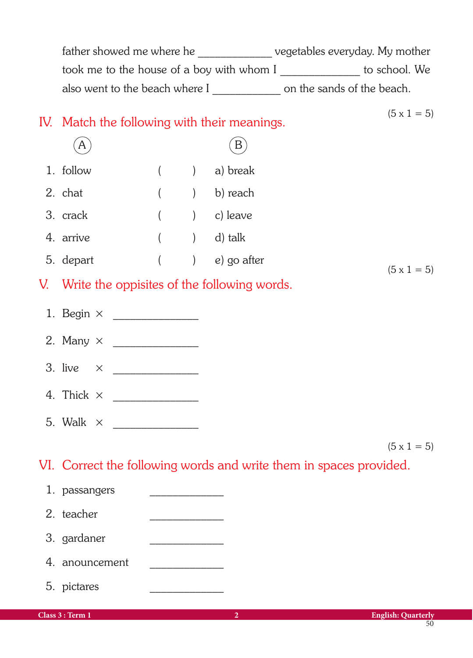|                   |  |                                                | father showed me where he _________________ vegetables everyday. My mother |
|-------------------|--|------------------------------------------------|----------------------------------------------------------------------------|
|                   |  |                                                | took me to the house of a boy with whom I _______________ to school. We    |
|                   |  |                                                | also went to the beach where I _______________ on the sands of the beach.  |
|                   |  |                                                | $(5 \times 1 = 5)$                                                         |
|                   |  | IV. Match the following with their meanings.   |                                                                            |
| A                 |  | B                                              |                                                                            |
| 1. follow         |  | $( )$ a) break                                 |                                                                            |
| 2. chat           |  | ( ) b) reach                                   |                                                                            |
| 3. crack          |  | $($ $)$ $)$ leave                              |                                                                            |
| 4. arrive         |  | $($ $)$ d) talk                                |                                                                            |
| 5. depart         |  | ( ) e) go after                                | $(5 \times 1 = 5)$                                                         |
|                   |  | V. Write the oppisites of the following words. |                                                                            |
|                   |  |                                                |                                                                            |
|                   |  |                                                |                                                                            |
|                   |  |                                                |                                                                            |
|                   |  |                                                |                                                                            |
| 4. Thick $\times$ |  |                                                |                                                                            |
| 5. Walk $\times$  |  |                                                |                                                                            |
|                   |  |                                                | $(5 \times 1 = 5)$                                                         |
|                   |  |                                                | VI. Correct the following words and write them in spaces provided.         |
| 1. passangers     |  |                                                |                                                                            |
| 2. teacher        |  |                                                |                                                                            |
| 3. gardaner       |  |                                                |                                                                            |
| 4. anouncement    |  |                                                |                                                                            |
| 5. pictares       |  |                                                |                                                                            |
| Class 3 : Term 1  |  | $\overline{2}$                                 | <b>English: Quarterly</b>                                                  |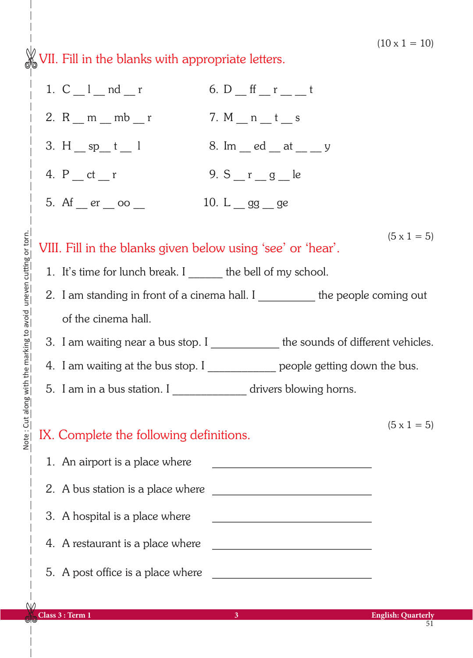$(10 \times 1 = 10)$ 

 $\frac{1}{200}$  VII. Fill in the blanks with appropriate letters.

| 1. $C_l$ <sub>m</sub> nd r                                                                                                                         | 6. $D_{f}$ ff $_{r}$ $_{r}$ $_{r}$ $_{r}$ $_{r}$ $_{r}$ t                                                             |  |  |  |  |
|----------------------------------------------------------------------------------------------------------------------------------------------------|-----------------------------------------------------------------------------------------------------------------------|--|--|--|--|
| 2. R $_{\rm m}$ m $_{\rm m}$ mb $_{\rm m}$ r                                                                                                       | 7. M _ n _ t _ s                                                                                                      |  |  |  |  |
| 3. H $_{\rm sp_{1}t_{1}}$ l                                                                                                                        | 8. Im $\_$ ed $\_$ at $\_$ y                                                                                          |  |  |  |  |
| 4. $P_{\text{at}}$ = ct _ r                                                                                                                        | 9. $S_{r} = g_{r} = le$                                                                                               |  |  |  |  |
| 5. Af $_{\rm{er}}$ $_{\rm{eq}}$ $\infty$ $_{\rm{eq}}$                                                                                              | 10. L gg ge                                                                                                           |  |  |  |  |
| $(5 \times 1 = 5)$<br>VIII. Fill in the blanks given below using 'see' or 'hear'.<br>1. It's time for lunch break. I ______ the bell of my school. |                                                                                                                       |  |  |  |  |
|                                                                                                                                                    | 2. I am standing in front of a cinema hall. I __________ the people coming out                                        |  |  |  |  |
| of the cinema hall.                                                                                                                                |                                                                                                                       |  |  |  |  |
|                                                                                                                                                    | 3. I am waiting near a bus stop. I _____________ the sounds of different vehicles.                                    |  |  |  |  |
|                                                                                                                                                    | 4. I am waiting at the bus stop. I _____________ people getting down the bus.                                         |  |  |  |  |
| 5. I am in a bus station. I ________________ drivers blowing horns.                                                                                |                                                                                                                       |  |  |  |  |
| IX. Complete the following definitions.                                                                                                            | $(5 \times 1 = 5)$                                                                                                    |  |  |  |  |
| 1. An airport is a place where                                                                                                                     | <u> 1980 - Johann John Stone, mars eta biztanleria (</u>                                                              |  |  |  |  |
| 2. A bus station is a place where                                                                                                                  |                                                                                                                       |  |  |  |  |
| 3. A hospital is a place where                                                                                                                     | <u> 2000 - Jan James James James James James James James James James James James James James James James James Ja</u> |  |  |  |  |
| 4. A restaurant is a place where                                                                                                                   |                                                                                                                       |  |  |  |  |
| 5. A post office is a place where                                                                                                                  |                                                                                                                       |  |  |  |  |

 $\mathsf{N}$